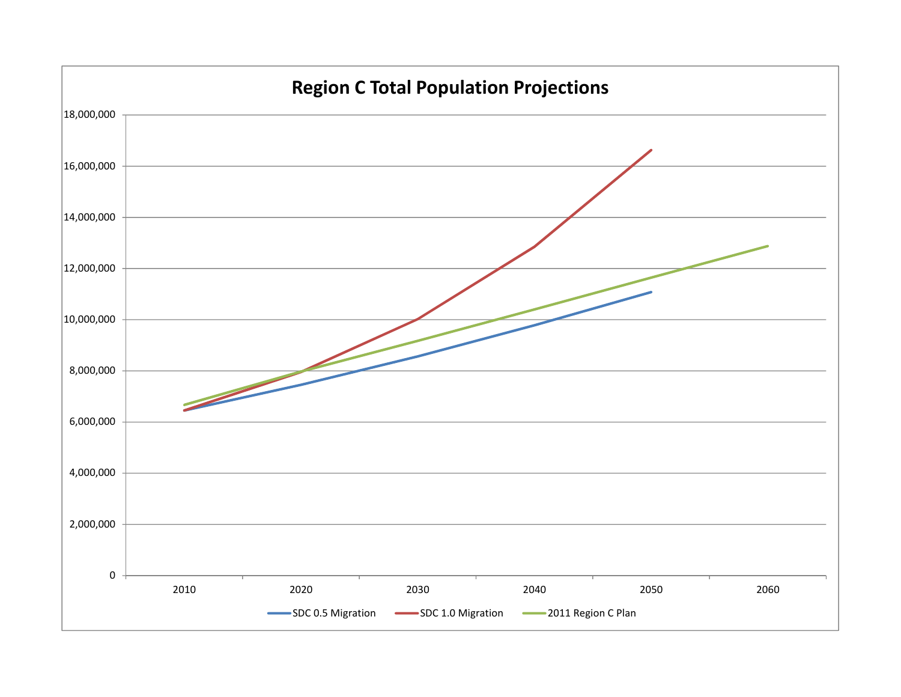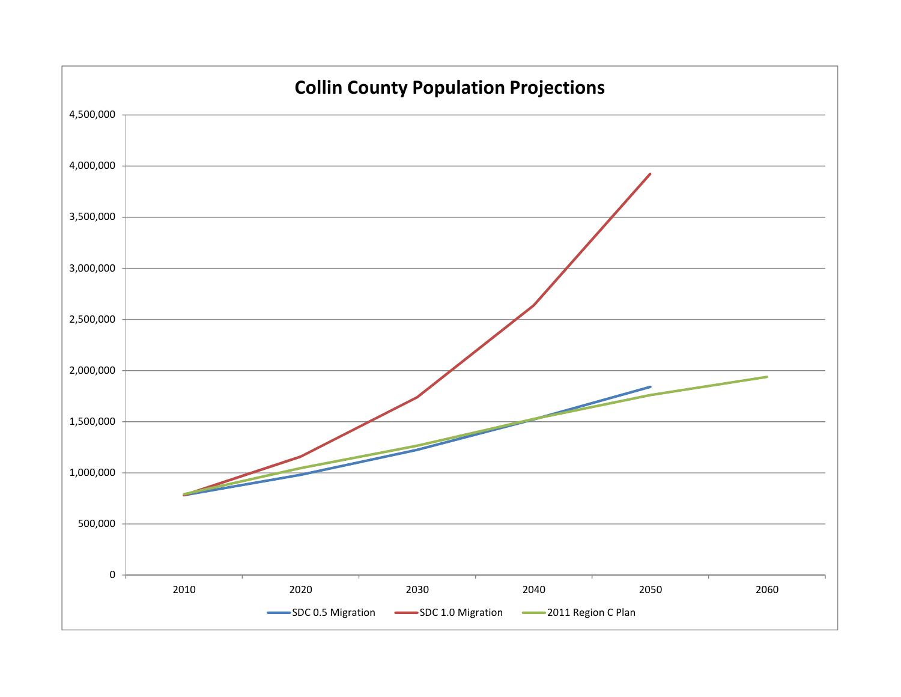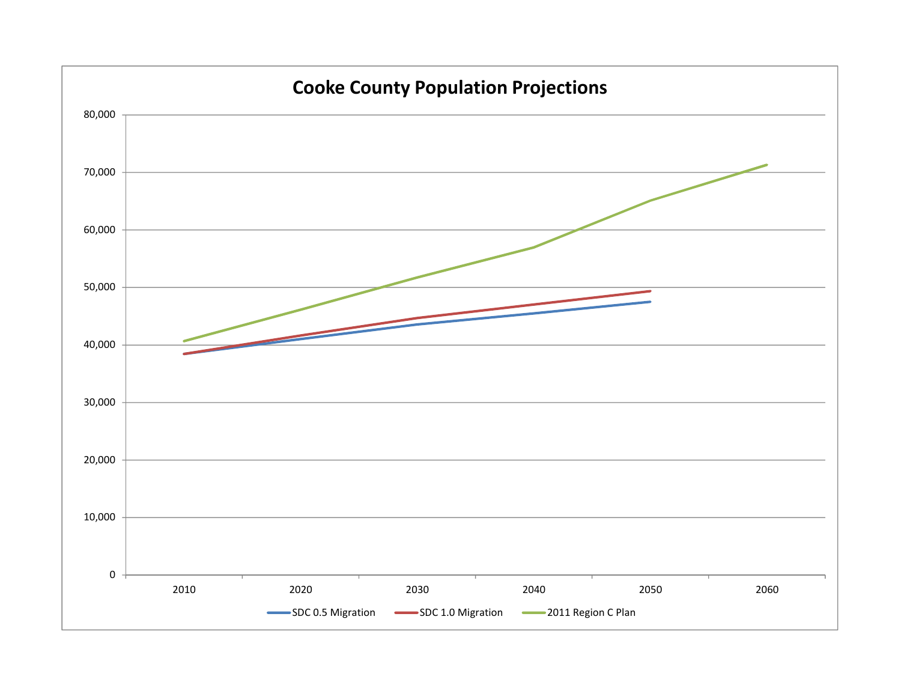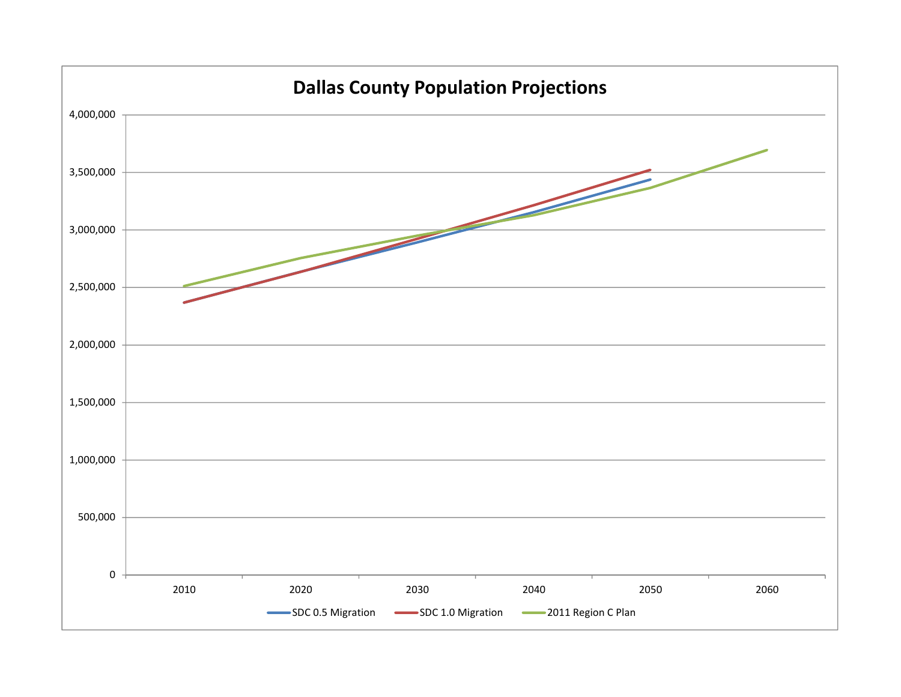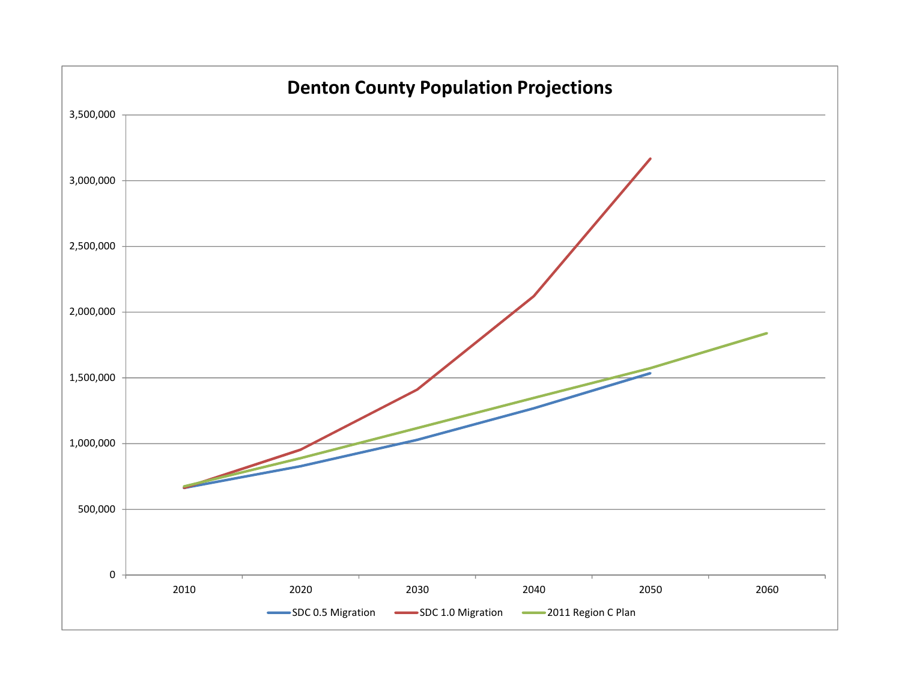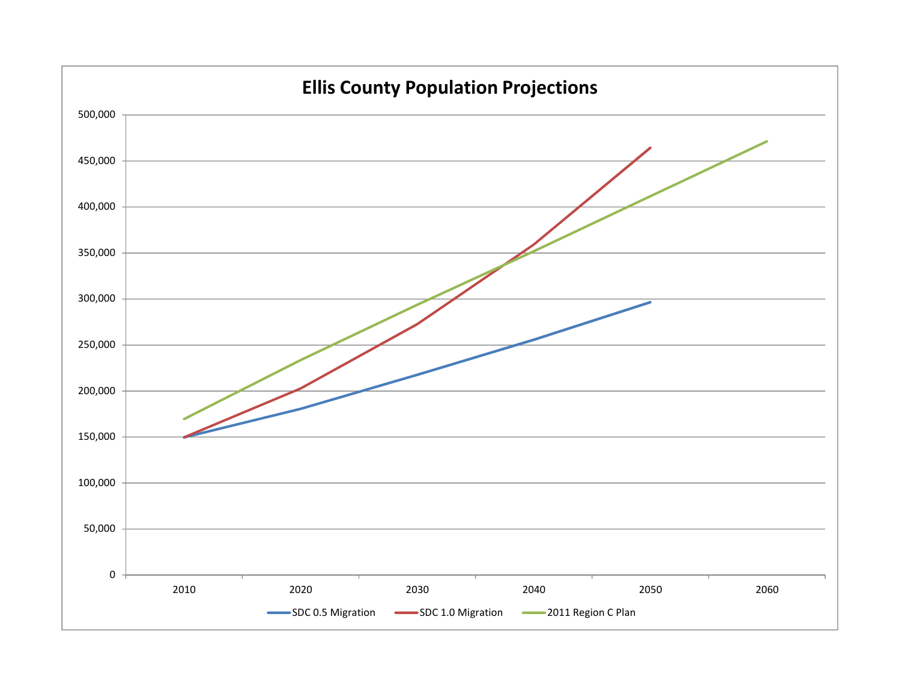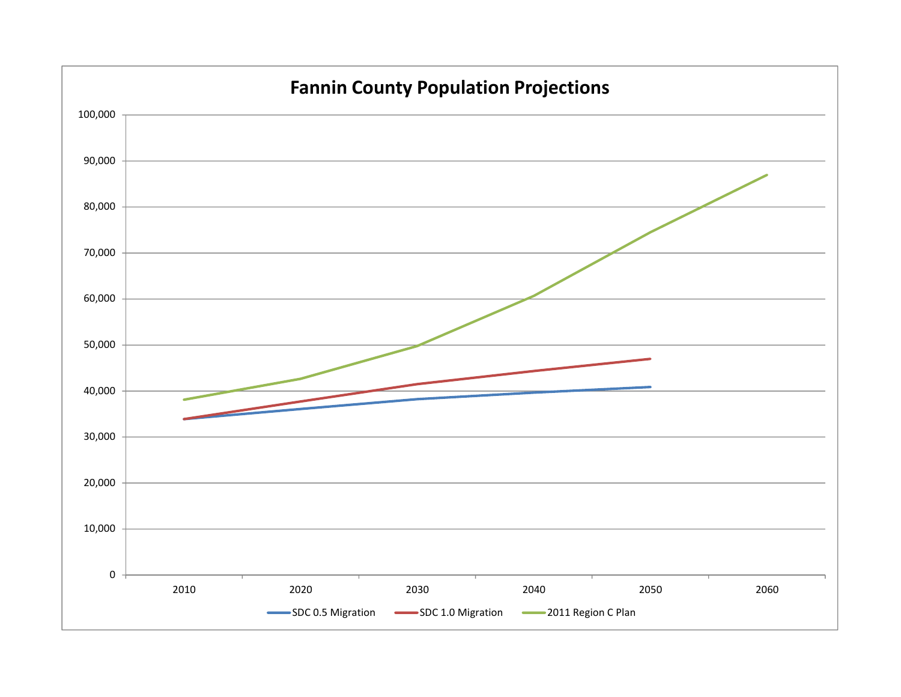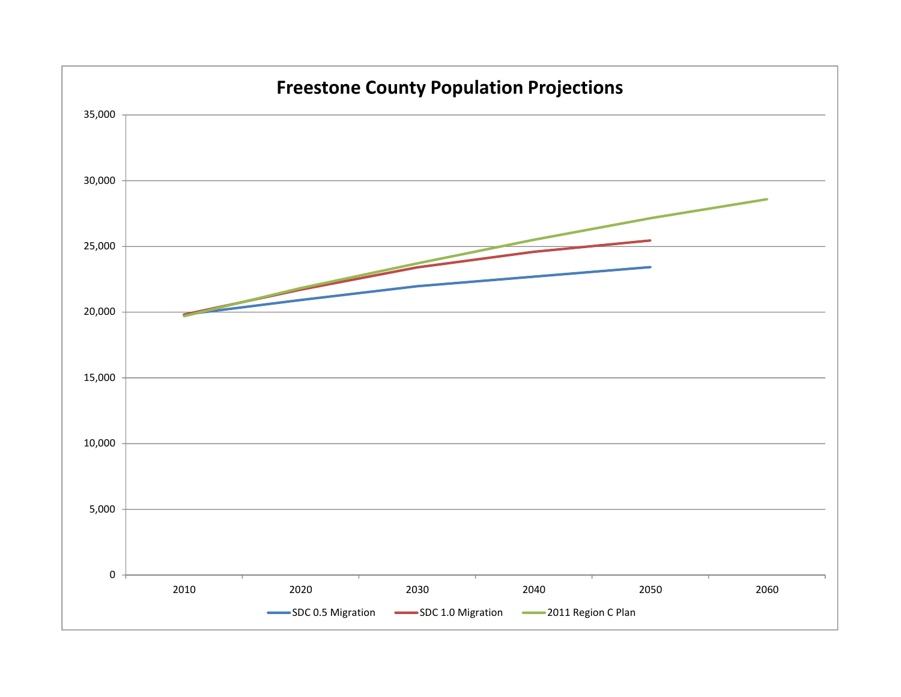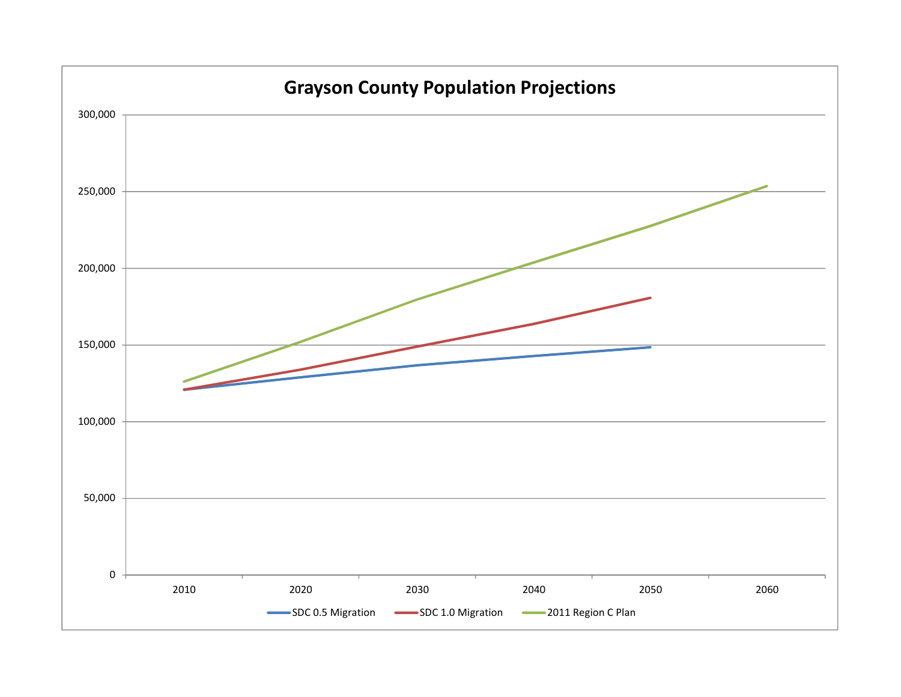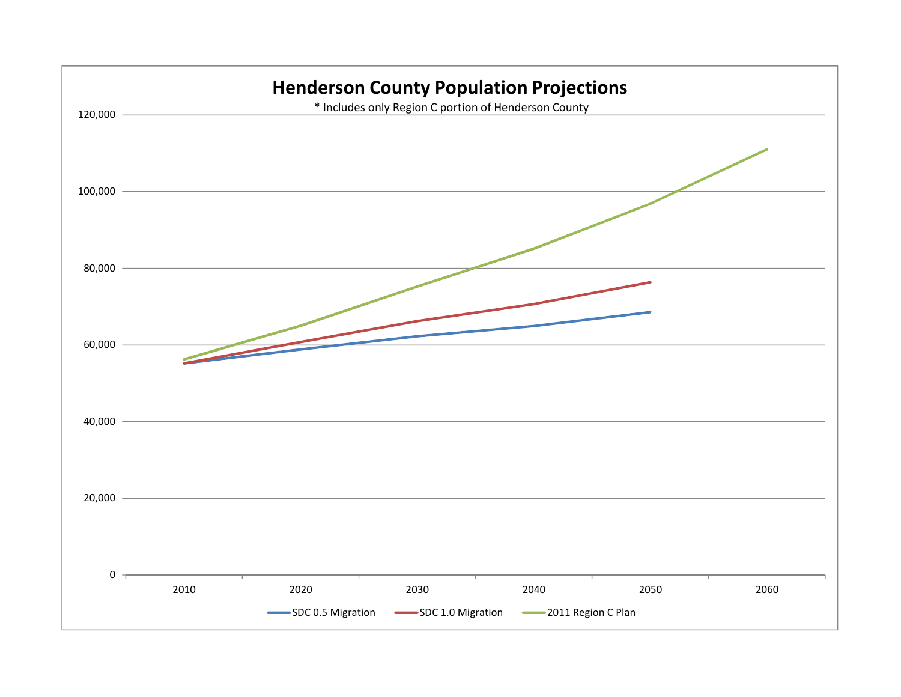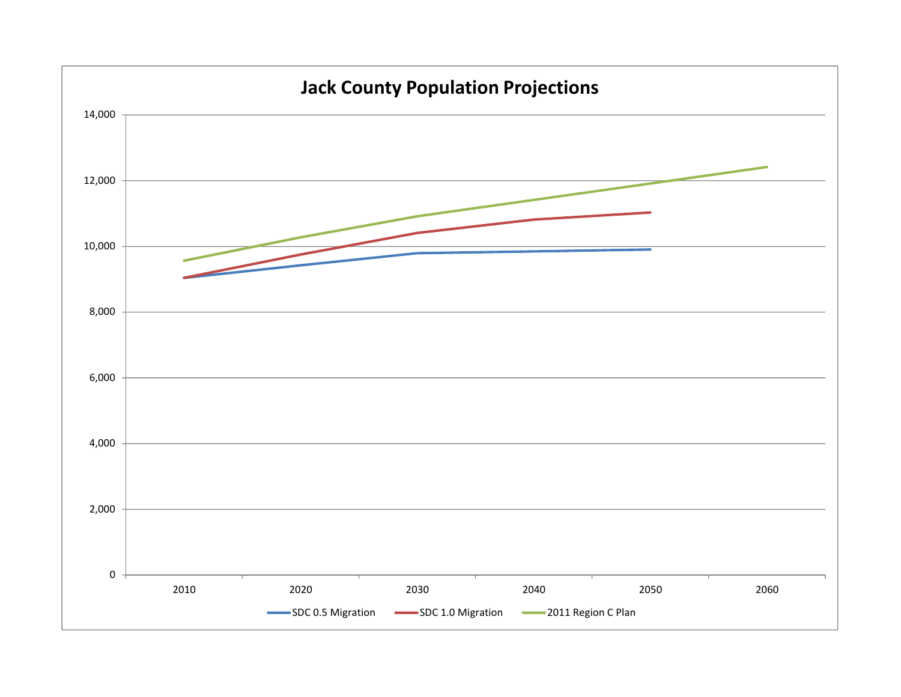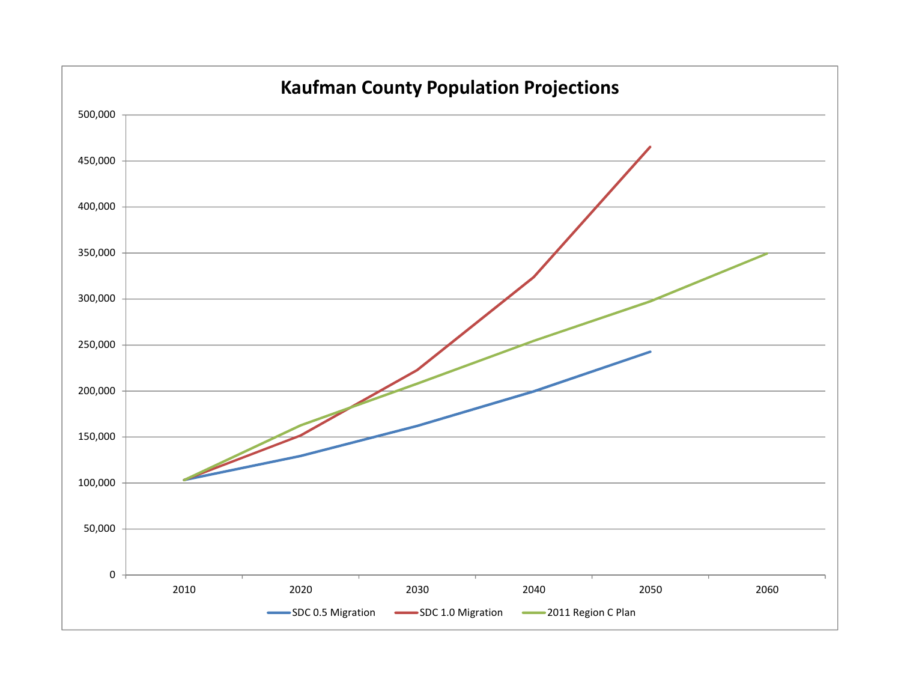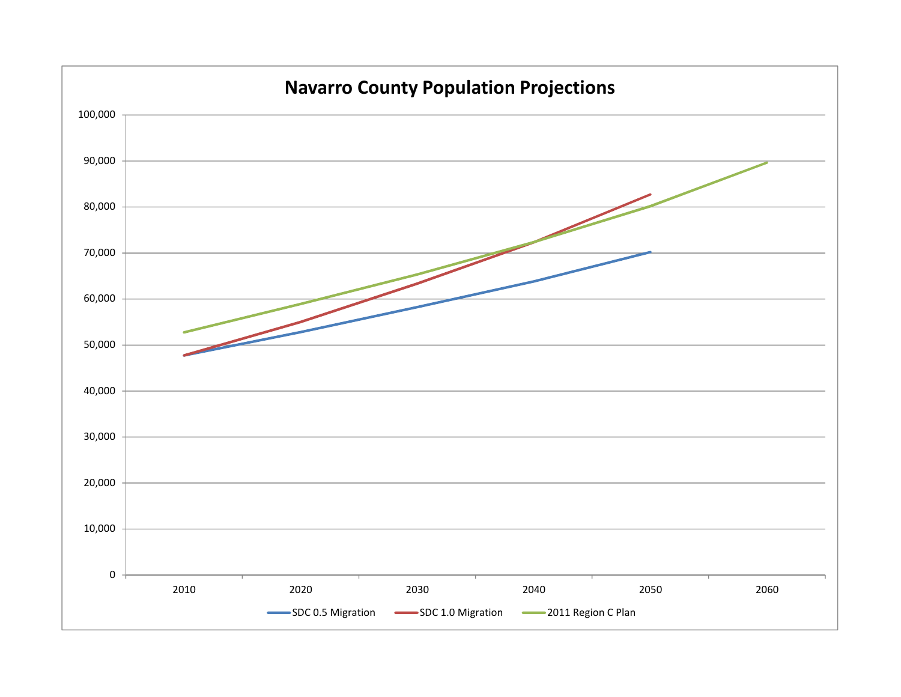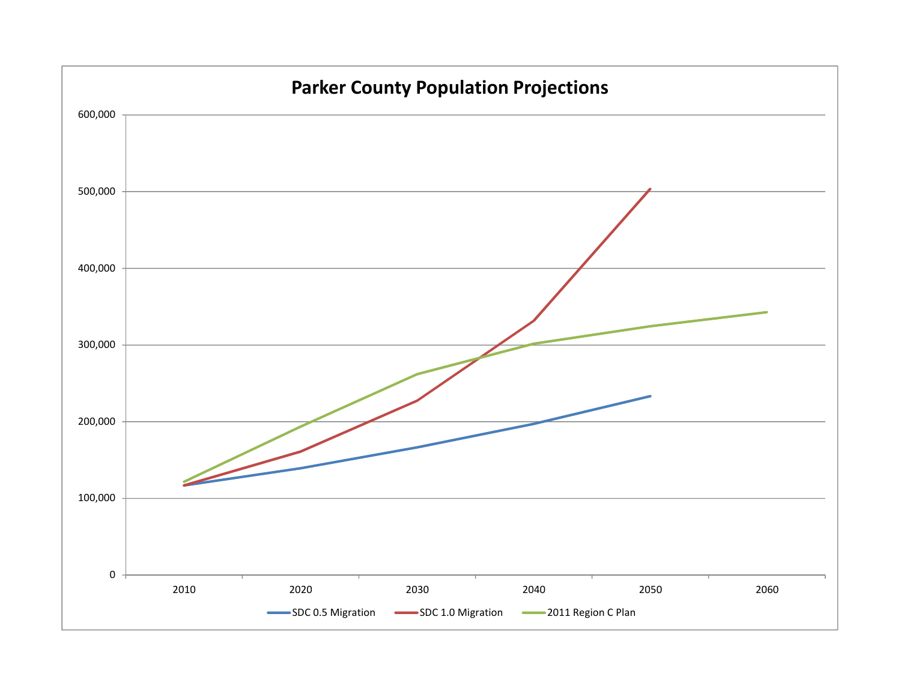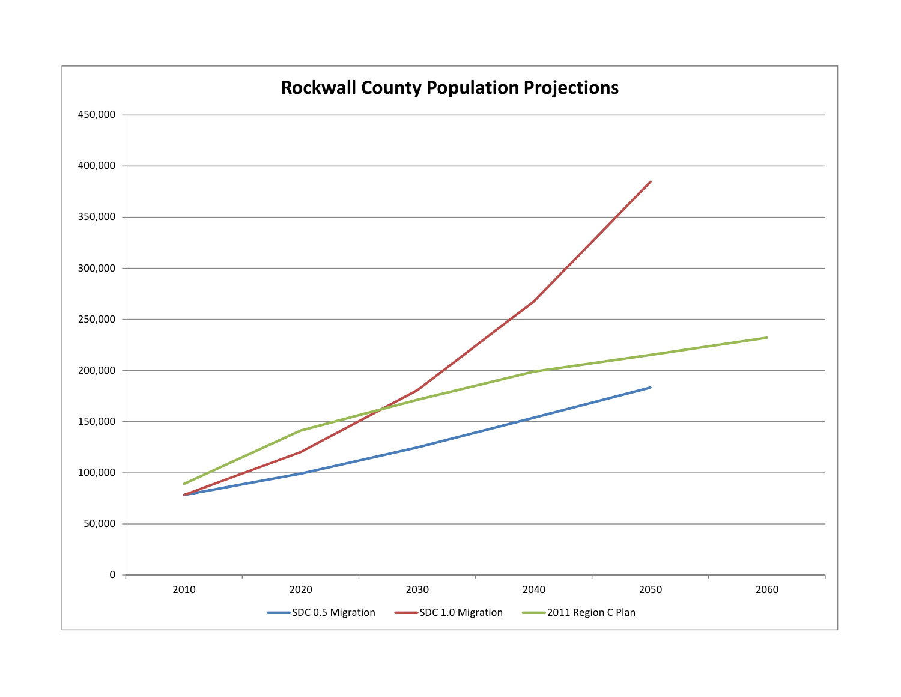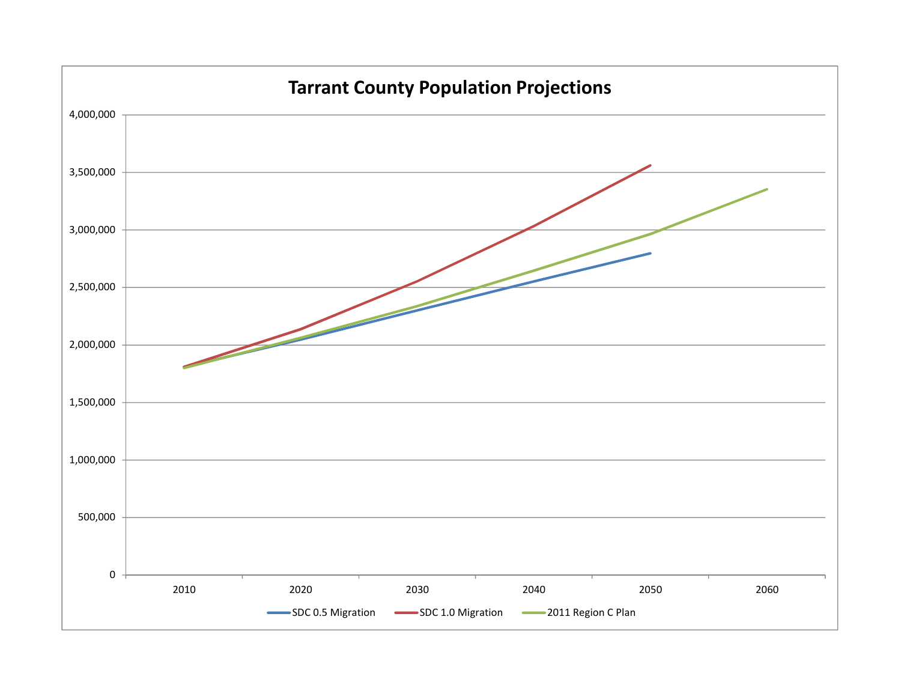